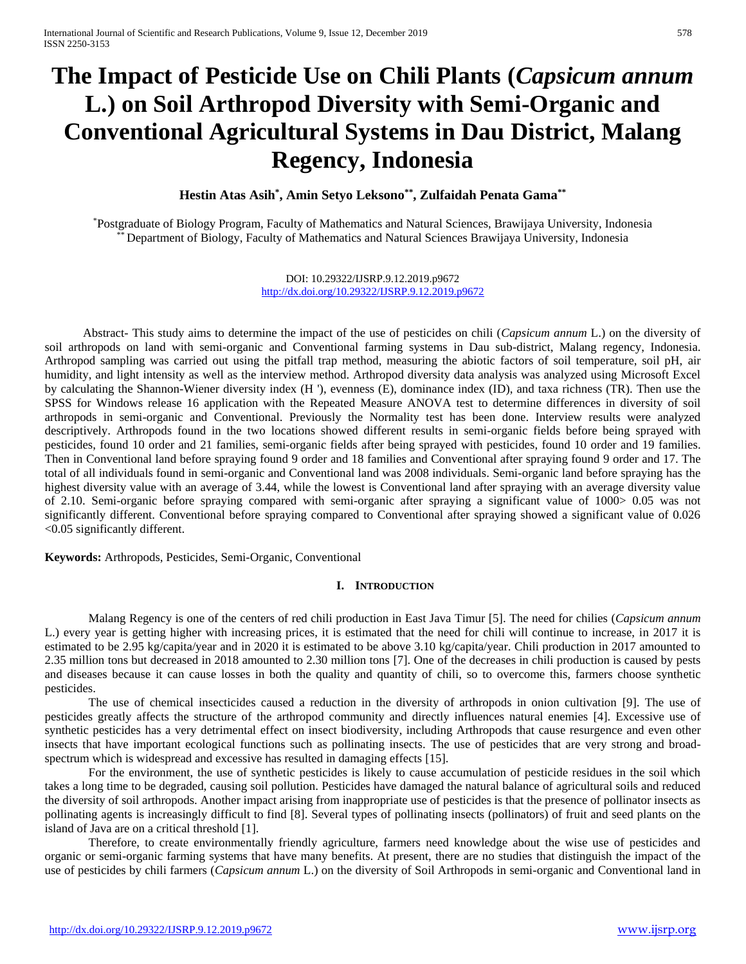# **The Impact of Pesticide Use on Chili Plants (***Capsicum annum* **L.) on Soil Arthropod Diversity with Semi-Organic and Conventional Agricultural Systems in Dau District, Malang Regency, Indonesia**

**Hestin Atas Asih\* , Amin Setyo Leksono\*\*, Zulfaidah Penata Gama\*\***

\*Postgraduate of Biology Program, Faculty of Mathematics and Natural Sciences, Brawijaya University, Indonesia Department of Biology, Faculty of Mathematics and Natural Sciences Brawijaya University, Indonesia

> DOI: 10.29322/IJSRP.9.12.2019.p9672 <http://dx.doi.org/10.29322/IJSRP.9.12.2019.p9672>

Abstract- This study aims to determine the impact of the use of pesticides on chili (*Capsicum annum* L.) on the diversity of soil arthropods on land with semi-organic and Conventional farming systems in Dau sub-district, Malang regency, Indonesia. Arthropod sampling was carried out using the pitfall trap method, measuring the abiotic factors of soil temperature, soil pH, air humidity, and light intensity as well as the interview method. Arthropod diversity data analysis was analyzed using Microsoft Excel by calculating the Shannon-Wiener diversity index (H '), evenness (E), dominance index (ID), and taxa richness (TR). Then use the SPSS for Windows release 16 application with the Repeated Measure ANOVA test to determine differences in diversity of soil arthropods in semi-organic and Conventional. Previously the Normality test has been done. Interview results were analyzed descriptively. Arthropods found in the two locations showed different results in semi-organic fields before being sprayed with pesticides, found 10 order and 21 families, semi-organic fields after being sprayed with pesticides, found 10 order and 19 families. Then in Conventional land before spraying found 9 order and 18 families and Conventional after spraying found 9 order and 17. The total of all individuals found in semi-organic and Conventional land was 2008 individuals. Semi-organic land before spraying has the highest diversity value with an average of 3.44, while the lowest is Conventional land after spraying with an average diversity value of 2.10. Semi-organic before spraying compared with semi-organic after spraying a significant value of 1000> 0.05 was not significantly different. Conventional before spraying compared to Conventional after spraying showed a significant value of 0.026 <0.05 significantly different.

**Keywords:** Arthropods, Pesticides, Semi-Organic, Conventional

## **I. INTRODUCTION**

Malang Regency is one of the centers of red chili production in East Java Timur [5]. The need for chilies (*Capsicum annum* L.) every year is getting higher with increasing prices, it is estimated that the need for chili will continue to increase, in 2017 it is estimated to be 2.95 kg/capita/year and in 2020 it is estimated to be above 3.10 kg/capita/year. Chili production in 2017 amounted to 2.35 million tons but decreased in 2018 amounted to 2.30 million tons [7]. One of the decreases in chili production is caused by pests and diseases because it can cause losses in both the quality and quantity of chili, so to overcome this, farmers choose synthetic pesticides.

The use of chemical insecticides caused a reduction in the diversity of arthropods in onion cultivation [9]. The use of pesticides greatly affects the structure of the arthropod community and directly influences natural enemies [4]. Excessive use of synthetic pesticides has a very detrimental effect on insect biodiversity, including Arthropods that cause resurgence and even other insects that have important ecological functions such as pollinating insects. The use of pesticides that are very strong and broadspectrum which is widespread and excessive has resulted in damaging effects [15].

For the environment, the use of synthetic pesticides is likely to cause accumulation of pesticide residues in the soil which takes a long time to be degraded, causing soil pollution. Pesticides have damaged the natural balance of agricultural soils and reduced the diversity of soil arthropods. Another impact arising from inappropriate use of pesticides is that the presence of pollinator insects as pollinating agents is increasingly difficult to find [8]. Several types of pollinating insects (pollinators) of fruit and seed plants on the island of Java are on a critical threshold [1].

Therefore, to create environmentally friendly agriculture, farmers need knowledge about the wise use of pesticides and organic or semi-organic farming systems that have many benefits. At present, there are no studies that distinguish the impact of the use of pesticides by chili farmers (*Capsicum annum* L.) on the diversity of Soil Arthropods in semi-organic and Conventional land in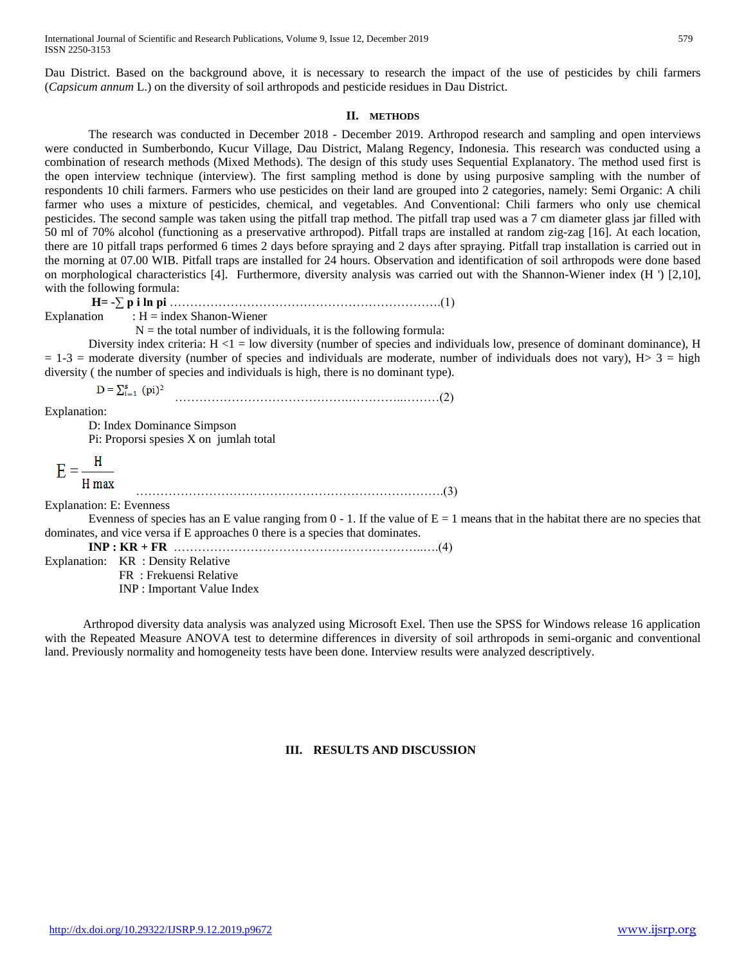Dau District. Based on the background above, it is necessary to research the impact of the use of pesticides by chili farmers (*Capsicum annum* L.) on the diversity of soil arthropods and pesticide residues in Dau District.

#### **II. METHODS**

The research was conducted in December 2018 - December 2019. Arthropod research and sampling and open interviews were conducted in Sumberbondo, Kucur Village, Dau District, Malang Regency, Indonesia. This research was conducted using a combination of research methods (Mixed Methods). The design of this study uses Sequential Explanatory. The method used first is the open interview technique (interview). The first sampling method is done by using purposive sampling with the number of respondents 10 chili farmers. Farmers who use pesticides on their land are grouped into 2 categories, namely: Semi Organic: A chili farmer who uses a mixture of pesticides, chemical, and vegetables. And Conventional: Chili farmers who only use chemical pesticides. The second sample was taken using the pitfall trap method. The pitfall trap used was a 7 cm diameter glass jar filled with 50 ml of 70% alcohol (functioning as a preservative arthropod). Pitfall traps are installed at random zig-zag [16]. At each location, there are 10 pitfall traps performed 6 times 2 days before spraying and 2 days after spraying. Pitfall trap installation is carried out in the morning at 07.00 WIB. Pitfall traps are installed for 24 hours. Observation and identification of soil arthropods were done based on morphological characteristics [4]. Furthermore, diversity analysis was carried out with the Shannon-Wiener index (H ') [2,10], with the following formula:

**H= -∑ p i ln pi** ………………………………………………………….(1) Explanation :  $H =$  index Shanon-Wiener

 $N =$  the total number of individuals, it is the following formula:

………………………………………………………………….(3)

Diversity index criteria:  $H \leq 1 =$  low diversity (number of species and individuals low, presence of dominant dominance), H  $= 1-3$  = moderate diversity (number of species and individuals are moderate, number of individuals does not vary), H $> 3 =$  high diversity ( the number of species and individuals is high, there is no dominant type).

 $D = \sum_{i=1}^{s} (pi)^2$ …………………………………….…………..………(2)

Explanation:

D: Index Dominance Simpson

Pi: Proporsi spesies X on jumlah total

 $E = \frac{H}{\frac{H}{\sqrt{2}}}$ H max

Explanation: E: Evenness Evenness of species has an E value ranging from  $0 - 1$ . If the value of  $E = 1$  means that in the habitat there are no species that dominates, and vice versa if E approaches 0 there is a species that dominates.

**INP : KR + FR** ……………………………………………………..….(4)

Explanation: KR : Density Relative FR : Frekuensi Relative INP : Important Value Index

Arthropod diversity data analysis was analyzed using Microsoft Exel. Then use the SPSS for Windows release 16 application with the Repeated Measure ANOVA test to determine differences in diversity of soil arthropods in semi-organic and conventional land. Previously normality and homogeneity tests have been done. Interview results were analyzed descriptively.

## **III. RESULTS AND DISCUSSION**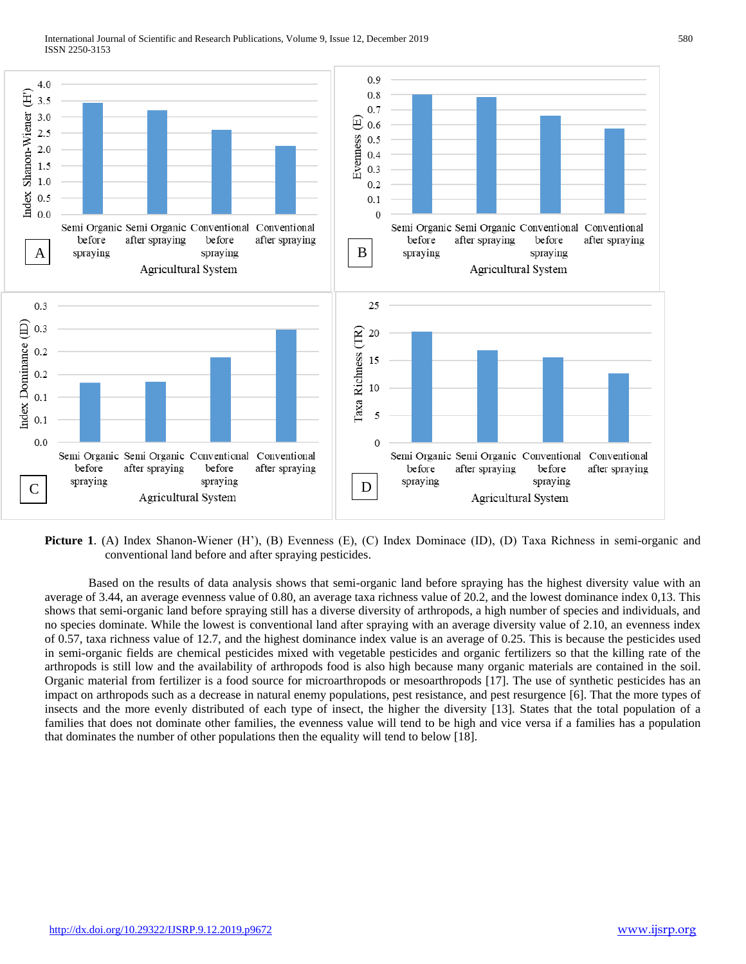

**Picture 1**. (A) Index Shanon-Wiener (H'), (B) Evenness (E), (C) Index Dominace (ID), (D) Taxa Richness in semi-organic and conventional land before and after spraying pesticides.

Based on the results of data analysis shows that semi-organic land before spraying has the highest diversity value with an average of 3.44, an average evenness value of 0.80, an average taxa richness value of 20.2, and the lowest dominance index 0,13. This shows that semi-organic land before spraying still has a diverse diversity of arthropods, a high number of species and individuals, and no species dominate. While the lowest is conventional land after spraying with an average diversity value of 2.10, an evenness index of 0.57, taxa richness value of 12.7, and the highest dominance index value is an average of 0.25. This is because the pesticides used in semi-organic fields are chemical pesticides mixed with vegetable pesticides and organic fertilizers so that the killing rate of the arthropods is still low and the availability of arthropods food is also high because many organic materials are contained in the soil. Organic material from fertilizer is a food source for microarthropods or mesoarthropods [17]. The use of synthetic pesticides has an impact on arthropods such as a decrease in natural enemy populations, pest resistance, and pest resurgence [6]. That the more types of insects and the more evenly distributed of each type of insect, the higher the diversity [13]. States that the total population of a families that does not dominate other families, the evenness value will tend to be high and vice versa if a families has a population that dominates the number of other populations then the equality will tend to below [18].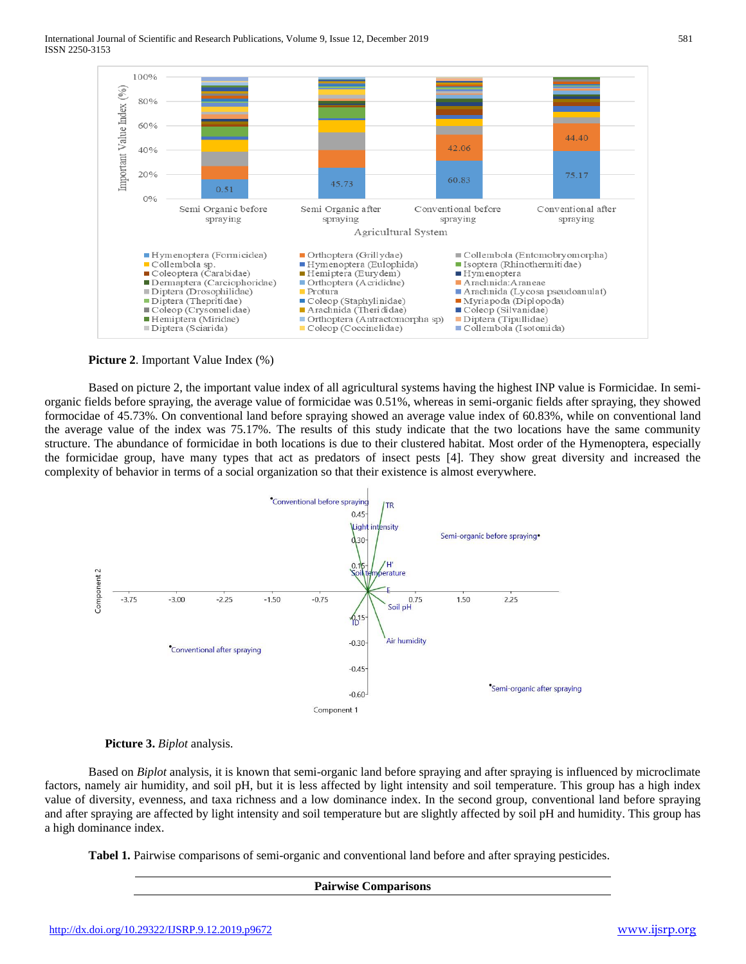

**Picture 2**. Important Value Index (%)

Based on picture 2, the important value index of all agricultural systems having the highest INP value is Formicidae. In semiorganic fields before spraying, the average value of formicidae was 0.51%, whereas in semi-organic fields after spraying, they showed formocidae of 45.73%. On conventional land before spraying showed an average value index of 60.83%, while on conventional land the average value of the index was 75.17%. The results of this study indicate that the two locations have the same community structure. The abundance of formicidae in both locations is due to their clustered habitat. Most order of the Hymenoptera, especially the formicidae group, have many types that act as predators of insect pests [4]. They show great diversity and increased the complexity of behavior in terms of a social organization so that their existence is almost everywhere.





Based on *Biplot* analysis, it is known that semi-organic land before spraying and after spraying is influenced by microclimate factors, namely air humidity, and soil pH, but it is less affected by light intensity and soil temperature. This group has a high index value of diversity, evenness, and taxa richness and a low dominance index. In the second group, conventional land before spraying and after spraying are affected by light intensity and soil temperature but are slightly affected by soil pH and humidity. This group has a high dominance index.

**Pairwise Comparisons**

**Tabel 1.** Pairwise comparisons of semi-organic and conventional land before and after spraying pesticides.

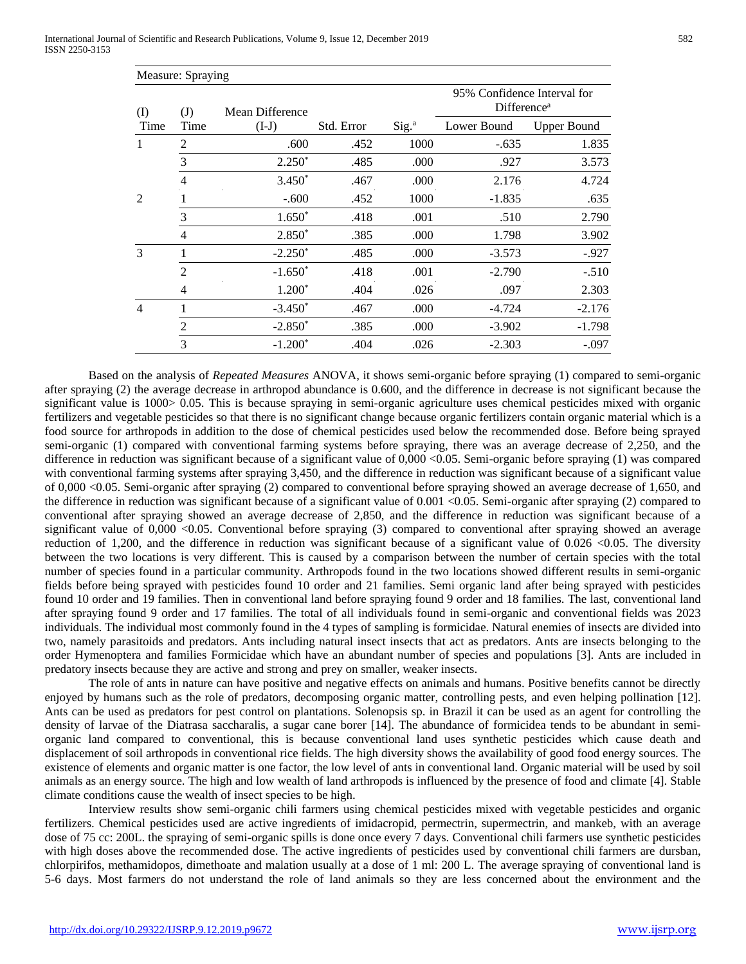| Measure: Spraying |                   |                            |            |                   |                                                        |                    |
|-------------------|-------------------|----------------------------|------------|-------------------|--------------------------------------------------------|--------------------|
| (I)               | $\rm (J)$<br>Time | Mean Difference<br>$(I-J)$ |            |                   | 95% Confidence Interval for<br>Difference <sup>a</sup> |                    |
| Time              |                   |                            | Std. Error | Sig. <sup>a</sup> | Lower Bound                                            | <b>Upper Bound</b> |
| 1                 | 2                 | .600                       | .452       | 1000              | $-.635$                                                | 1.835              |
|                   | 3                 | $2.250*$                   | .485       | .000              | .927                                                   | 3.573              |
|                   | 4                 | $3.450*$                   | .467       | .000              | 2.176                                                  | 4.724              |
| $\mathfrak{D}$    |                   | $-.600$                    | .452       | 1000              | $-1.835$                                               | .635               |
|                   | 3                 | $1.650*$                   | .418       | .001              | .510                                                   | 2.790              |
|                   | 4                 | $2.850*$                   | .385       | .000              | 1.798                                                  | 3.902              |
| 3                 |                   | $-2.250*$                  | .485       | .000              | $-3.573$                                               | $-0.927$           |
|                   | $\overline{2}$    | $-1.650*$                  | .418       | .001              | $-2.790$                                               | $-.510$            |
|                   | 4                 | $1.200*$                   | .404       | .026              | .097                                                   | 2.303              |
| $\overline{4}$    |                   | $-3.450*$                  | .467       | .000              | $-4.724$                                               | $-2.176$           |
|                   | 2                 | $-2.850*$                  | .385       | .000              | $-3.902$                                               | $-1.798$           |
|                   | 3                 | $-1.200*$                  | .404       | .026              | $-2.303$                                               | $-.097$            |

Based on the analysis of *Repeated Measures* ANOVA, it shows semi-organic before spraying (1) compared to semi-organic after spraying (2) the average decrease in arthropod abundance is 0.600, and the difference in decrease is not significant because the significant value is 1000> 0.05. This is because spraying in semi-organic agriculture uses chemical pesticides mixed with organic fertilizers and vegetable pesticides so that there is no significant change because organic fertilizers contain organic material which is a food source for arthropods in addition to the dose of chemical pesticides used below the recommended dose. Before being sprayed semi-organic (1) compared with conventional farming systems before spraying, there was an average decrease of 2,250, and the difference in reduction was significant because of a significant value of 0,000 <0.05. Semi-organic before spraying (1) was compared with conventional farming systems after spraying 3,450, and the difference in reduction was significant because of a significant value of 0,000 <0.05. Semi-organic after spraying (2) compared to conventional before spraying showed an average decrease of 1,650, and the difference in reduction was significant because of a significant value of 0.001 <0.05. Semi-organic after spraying (2) compared to conventional after spraying showed an average decrease of 2,850, and the difference in reduction was significant because of a significant value of  $0,000$  <0.05. Conventional before spraying (3) compared to conventional after spraying showed an average reduction of 1,200, and the difference in reduction was significant because of a significant value of 0.026 <0.05. The diversity between the two locations is very different. This is caused by a comparison between the number of certain species with the total number of species found in a particular community. Arthropods found in the two locations showed different results in semi-organic fields before being sprayed with pesticides found 10 order and 21 families. Semi organic land after being sprayed with pesticides found 10 order and 19 families. Then in conventional land before spraying found 9 order and 18 families. The last, conventional land after spraying found 9 order and 17 families. The total of all individuals found in semi-organic and conventional fields was 2023 individuals. The individual most commonly found in the 4 types of sampling is formicidae. Natural enemies of insects are divided into two, namely parasitoids and predators. Ants including natural insect insects that act as predators. Ants are insects belonging to the order Hymenoptera and families Formicidae which have an abundant number of species and populations [3]. Ants are included in predatory insects because they are active and strong and prey on smaller, weaker insects.

The role of ants in nature can have positive and negative effects on animals and humans. Positive benefits cannot be directly enjoyed by humans such as the role of predators, decomposing organic matter, controlling pests, and even helping pollination [12]. Ants can be used as predators for pest control on plantations. Solenopsis sp. in Brazil it can be used as an agent for controlling the density of larvae of the Diatrasa saccharalis, a sugar cane borer [14]. The abundance of formicidea tends to be abundant in semiorganic land compared to conventional, this is because conventional land uses synthetic pesticides which cause death and displacement of soil arthropods in conventional rice fields. The high diversity shows the availability of good food energy sources. The existence of elements and organic matter is one factor, the low level of ants in conventional land. Organic material will be used by soil animals as an energy source. The high and low wealth of land arthropods is influenced by the presence of food and climate [4]. Stable climate conditions cause the wealth of insect species to be high.

Interview results show semi-organic chili farmers using chemical pesticides mixed with vegetable pesticides and organic fertilizers. Chemical pesticides used are active ingredients of imidacropid, permectrin, supermectrin, and mankeb, with an average dose of 75 cc: 200L. the spraying of semi-organic spills is done once every 7 days. Conventional chili farmers use synthetic pesticides with high doses above the recommended dose. The active ingredients of pesticides used by conventional chili farmers are dursban, chlorpirifos, methamidopos, dimethoate and malation usually at a dose of 1 ml: 200 L. The average spraying of conventional land is 5-6 days. Most farmers do not understand the role of land animals so they are less concerned about the environment and the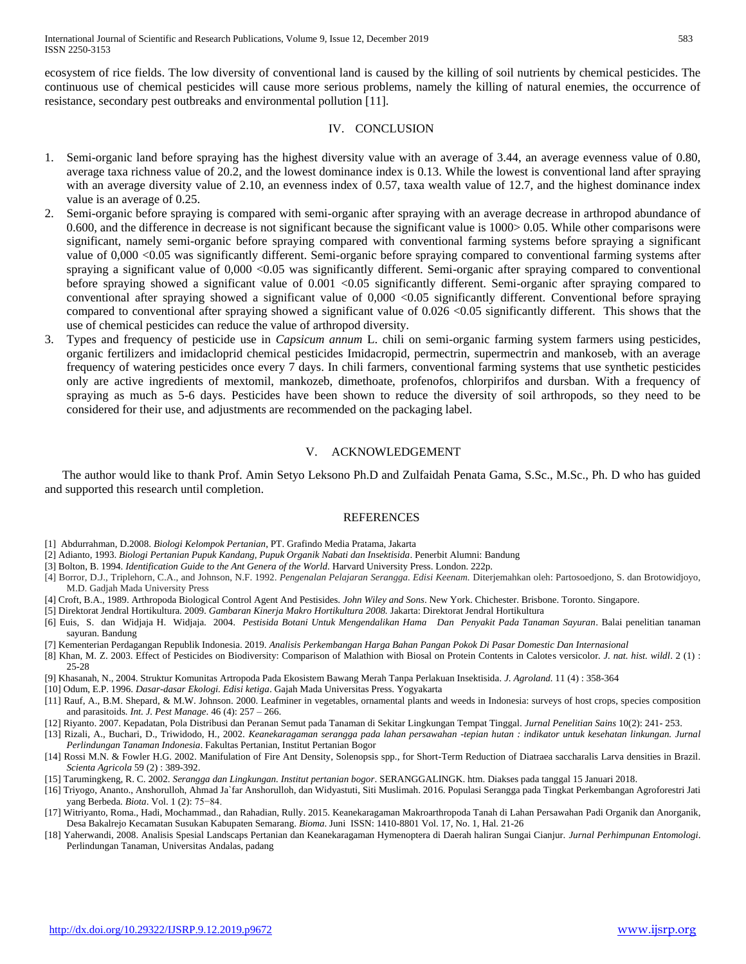ecosystem of rice fields. The low diversity of conventional land is caused by the killing of soil nutrients by chemical pesticides. The continuous use of chemical pesticides will cause more serious problems, namely the killing of natural enemies, the occurrence of resistance, secondary pest outbreaks and environmental pollution [11].

### IV. CONCLUSION

- 1. Semi-organic land before spraying has the highest diversity value with an average of 3.44, an average evenness value of 0.80, average taxa richness value of 20.2, and the lowest dominance index is 0.13. While the lowest is conventional land after spraying with an average diversity value of 2.10, an evenness index of 0.57, taxa wealth value of 12.7, and the highest dominance index value is an average of 0.25.
- 2. Semi-organic before spraying is compared with semi-organic after spraying with an average decrease in arthropod abundance of 0.600, and the difference in decrease is not significant because the significant value is 1000> 0.05. While other comparisons were significant, namely semi-organic before spraying compared with conventional farming systems before spraying a significant value of 0,000 <0.05 was significantly different. Semi-organic before spraying compared to conventional farming systems after spraying a significant value of 0,000 <0.05 was significantly different. Semi-organic after spraying compared to conventional before spraying showed a significant value of 0.001 <0.05 significantly different. Semi-organic after spraying compared to conventional after spraying showed a significant value of 0,000 <0.05 significantly different. Conventional before spraying compared to conventional after spraying showed a significant value of 0.026 <0.05 significantly different. This shows that the use of chemical pesticides can reduce the value of arthropod diversity.
- 3. Types and frequency of pesticide use in *Capsicum annum* L. chili on semi-organic farming system farmers using pesticides, organic fertilizers and imidacloprid chemical pesticides Imidacropid, permectrin, supermectrin and mankoseb, with an average frequency of watering pesticides once every 7 days. In chili farmers, conventional farming systems that use synthetic pesticides only are active ingredients of mextomil, mankozeb, dimethoate, profenofos, chlorpirifos and dursban. With a frequency of spraying as much as 5-6 days. Pesticides have been shown to reduce the diversity of soil arthropods, so they need to be considered for their use, and adjustments are recommended on the packaging label.

## V. ACKNOWLEDGEMENT

The author would like to thank Prof. Amin Setyo Leksono Ph.D and Zulfaidah Penata Gama, S.Sc., M.Sc., Ph. D who has guided and supported this research until completion.

#### REFERENCES

- [1] Abdurrahman, D.2008. *Biologi Kelompok Pertanian*, PT. Grafindo Media Pratama, Jakarta
- [2] Adianto, 1993. *Biologi Pertanian Pupuk Kandang, Pupuk Organik Nabati dan Insektisida*. Penerbit Alumni: Bandung
- [3] Bolton, B. 1994. *Identification Guide to the Ant Genera of the World*. Harvard University Press. London. 222p.
- [4] Borror, D.J., Triplehorn, C.A., and Johnson, N.F. 1992. *Pengenalan Pelajaran Serangga. Edisi Keenam.* Diterjemahkan oleh: Partosoedjono, S. dan Brotowidjoyo, M.D. Gadjah Mada University Press
- [4] Croft, B.A., 1989. Arthropoda Biological Control Agent And Pestisides. *John Wiley and Sons*. New York. Chichester. Brisbone. Toronto. Singapore.
- [5] Direktorat Jendral Hortikultura. 2009. *Gambaran Kinerja Makro Hortikultura 2008.* Jakarta: Direktorat Jendral Hortikultura
- [6] Euis, S. dan Widjaja H. Widjaja. 2004. *Pestisida Botani Untuk Mengendalikan Hama Dan Penyakit Pada Tanaman Sayuran*. Balai penelitian tanaman sayuran. Bandung
- [7] Kementerian Perdagangan Republik Indonesia. 2019. *Analisis Perkembangan Harga Bahan Pangan Pokok Di Pasar Domestic Dan Internasional*
- [8] Khan, M. Z. 2003. Effect of Pesticides on Biodiversity: Comparison of Malathion with Biosal on Protein Contents in Calotes versicolor*. J. nat. hist. wildl*. 2 (1) : 25-28
- [9] Khasanah, N., 2004. Struktur Komunitas Artropoda Pada Ekosistem Bawang Merah Tanpa Perlakuan Insektisida*. J. Agroland.* 11 (4) : 358-364
- [10] Odum, E.P. 1996. *Dasar-dasar Ekologi. Edisi ketiga*. Gajah Mada Universitas Press. Yogyakarta
- [11] Rauf, A., B.M. Shepard, & M.W. Johnson. 2000. Leafminer in vegetables, ornamental plants and weeds in Indonesia: surveys of host crops, species composition and parasitoids*. Int. J. Pest Manage*. 46 (4): 257 – 266.
- [12] Riyanto. 2007. Kepadatan, Pola Distribusi dan Peranan Semut pada Tanaman di Sekitar Lingkungan Tempat Tinggal. *Jurnal Penelitian Sains* 10(2): 241- 253.
- [13] Rizali, A., Buchari, D., Triwidodo, H., 2002. *Keanekaragaman serangga pada lahan persawahan -tepian hutan : indikator untuk kesehatan linkungan. Jurnal Perlindungan Tanaman Indonesia*. Fakultas Pertanian, Institut Pertanian Bogor
- [14] Rossi M.N. & Fowler H.G. 2002. Manifulation of Fire Ant Density, Solenopsis spp., for Short-Term Reduction of Diatraea saccharalis Larva densities in Brazil. *Scienta Agricola* 59 (2) : 389-392.
- [15] Tarumingkeng, R. C. 2002. *Serangga dan Lingkungan. Institut pertanian bogor*. SERANGGALINGK. htm. Diakses pada tanggal 15 Januari 2018.
- [16] Triyogo, Ananto., Anshorulloh, Ahmad Ja`far Anshorulloh, dan Widyastuti, Siti Muslimah. 2016. Populasi Serangga pada Tingkat Perkembangan Agroforestri Jati yang Berbeda*. Biota*. Vol. 1 (2): 75−84.
- [17] Witriyanto, Roma., Hadi, Mochammad., dan Rahadian, Rully. 2015. Keanekaragaman Makroarthropoda Tanah di Lahan Persawahan Padi Organik dan Anorganik, Desa Bakalrejo Kecamatan Susukan Kabupaten Semarang. *Bioma*. Juni ISSN: 1410-8801 Vol. 17, No. 1, Hal. 21-26
- [18] Yaherwandi, 2008. Analisis Spesial Landscaps Pertanian dan Keanekaragaman Hymenoptera di Daerah haliran Sungai Cianjur. *Jurnal Perhimpunan Entomologi*. Perlindungan Tanaman, Universitas Andalas, padang